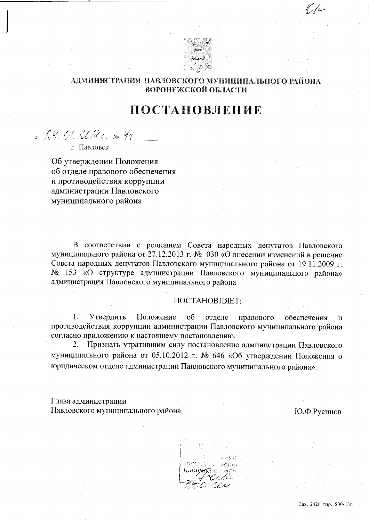

# АДМИНИСТРАЦИЯ ПАВЛОВСКОГО МУНИЦИПАЛЬНОГО РАЙОНА ВОРОНЕЖСКОЙ ОБЛАСТИ

# ПОСТАНОВЛЕНИЕ

от L. Ч. C. IVI с. № 44

г. Павловск

Об утверждении Положения об отделе правового обеспечения и противодействия коррупции администрации Павловского муниципального района

В соответствии с решением Совета народных депутатов Павловского муниципального района от 27.12.2013 г. № 030 «О внесении изменений в решение Совета народных депутатов Павловского муниципального района от 19.11.2009 г. № 153 «О структуре администрации Павловского муниципального района» администрация Павловского муниципального района

#### ПОСТАНОВЛЯЕТ:

Утвердить Положение 1.  $\overline{00}$ отделе правового обеспечения противодействия коррупции администрации Павловского муниципального района согласно приложению к настоящему постановлению.

Признать утратившим силу постановление администрации Павловского  $2.$ муниципального района от 05.10.2012 г. № 646 «Об утверждении Положения о юридическом отделе администрации Павловского муниципального района».

Глава администрации Павловского муниципального района

Ю.Ф.Русинов

(† 10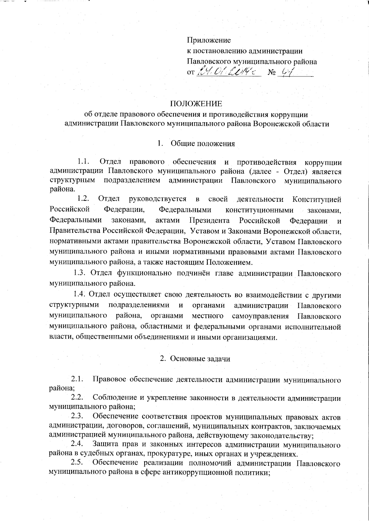## Приложение

к постановлению администрации Павловского муниципального района

or  $24.01204c$  $\mathbb{N}^{\circ}$  (i)

#### ПОЛОЖЕНИЕ

об отделе правового обеспечения и противодействия коррупции администрации Павловского муниципального района Воронежской области

#### $\mathbf{1}$ . Общие положения

 $1.1.$ Отдел правового обеспечения и противодействия коррупции администрации Павловского муниципального района (далее - Отдел) является структурным подразделением администрации Павловского муниципального района.

1.2. Отдел руководствуется  $\mathbf{B}$ своей деятельности Конституцией Российской Федерации, Федеральными конституционными законами, Федеральными законами, актами Президента Российской Федерации  $\overline{M}$ Правительства Российской Федерации, Уставом и Законами Воронежской области, нормативными актами правительства Воронежской области, Уставом Павловского муниципального района и иными нормативными правовыми актами Павловского муниципального района, а также настоящим Положением.

1.3. Отдел функционально подчинён главе администрации Павловского муниципального района.

1.4. Отдел осуществляет свою деятельность во взаимодействии с другими структурными подразделениями  $\mathbf{M}$ органами администрации Павловского муниципального района. органами местного самоуправления Павловского муниципального района, областными и федеральными органами исполнительной власти, общественными объединениями и иными организациями.

#### 2. Основные задачи

 $2.1.$ Правовое обеспечение деятельности администрации муниципального района;

 $2.2.$ Соблюдение и укрепление законности в деятельности администрации муниципального района:

Обеспечение соответствия проектов муниципальных правовых актов 2.3. администрации, договоров, соглашений, муниципальных контрактов, заключаемых администрацией муниципального района, действующему законодательству;

2.4. Защита прав и законных интересов администрации муниципального района в судебных органах, прокуратуре, иных органах и учреждениях.

2.5. Обеспечение реализации полномочий администрации Павловского муниципального района в сфере антикоррупционной политики: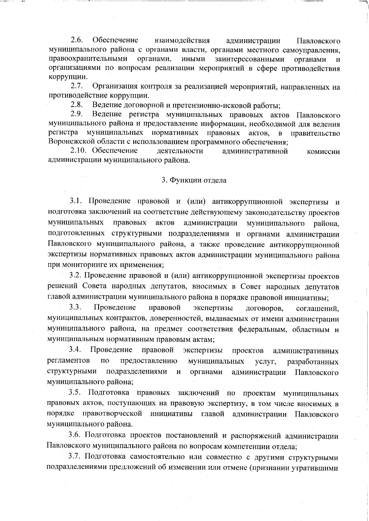$2.6.$ Обеспечение взаимодействия администрации Павловского муниципального района с органами власти, органами местного самоуправления, правоохранительными органами, иными заинтересованными органами И организациями по вопросам реализации мероприятий в сфере противодействия коррупции.

 $2.7.$ Организация контроля за реализацией мероприятий, направленных на противодействие коррупции.

2.8. Ведение договорной и претензионно-исковой работы;

2.9. Ведение регистра муниципальных правовых актов Павловского муниципального района и предоставление информации, необходимой для ведения регистра муниципальных нормативных правовых актов.  $B$ правительство Воронежской области с использованием программного обеспечения;

2.10. Обеспечение деятельности административной комиссии администрации муниципального района.

#### 3. Функции отдела

3.1. Проведение правовой и (или) антикоррупционной экспертизы и подготовка заключений на соответствие действующему законодательству проектов муниципальных правовых актов администрации муниципального района. подготовленных структурными подразделениями и органами администрации Павловского муниципального района, а также проведение антикоррупционной экспертизы нормативных правовых актов администрации муниципального района при мониторинге их применения;

3.2. Проведение правовой и (или) антикоррупционной экспертизы проектов решений Совета народных депутатов, вносимых в Совет народных депутатов главой администрации муниципального района в порядке правовой инициативы;

 $3.3.$ Проведение правовой экспертизы договоров, соглашений. муниципальных контрактов, доверенностей, выдаваемых от имени администрации муниципального района, на предмет соответствия федеральным, областным и муниципальным нормативным правовым актам;

3.4. Проведение правовой экспертизы проектов административных регламентов  $\Pi$ <sup>O</sup> предоставлению муниципальных услуг, разработанных структурными подразделениями  $\mathbf{M}$ органами администрации Павловского муниципального района;

3.5. Подготовка правовых заключений по проектам муниципальных правовых актов, поступающих на правовую экспертизу, в том числе вносимых в порядке правотворческой инициативы главой администрации Павловского муниципального района.

3.6. Подготовка проектов постановлений и распоряжений администрации Павловского муниципального района по вопросам компетенции отдела;

3.7. Подготовка самостоятельно или совместно с другими структурными подразделениями предложений об изменении или отмене (признании утратившими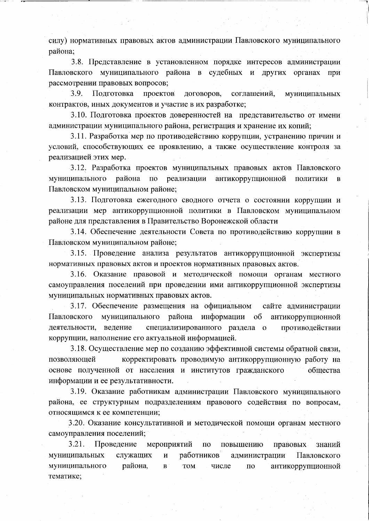силу) нормативных правовых актов администрации Павловского муниципального района:

3.8. Представление в установленном порядке интересов администрации Павловского муниципального района в судебных и других органах при рассмотрении правовых вопросов;

3.9. Подготовка проектов договоров, соглашений, муниципальных контрактов, иных документов и участие в их разработке;

3.10. Подготовка проектов доверенностей на представительство от имени администрации муниципального района, регистрация и хранение их копий;

3.11. Разработка мер по противодействию коррупции, устранению причин и условий, способствующих ее проявлению, а также осуществление контроля за реализацией этих мер.

3.12. Разработка проектов муниципальных правовых актов Павловского муниципального района по реализации антикоррупционной ПОЛИТИКИ  $\mathbf{B}$ Павловском муниципальном районе;

3.13. Подготовка ежегодного сводного отчета о состоянии коррупции и реализации мер антикоррупционной политики в Павловском муниципальном районе для представления в Правительство Воронежской области

3.14. Обеспечение деятельности Совета по противодействию коррупции в Павловском муниципальном районе;

3.15. Проведение анализа результатов антикоррупционной экспертизы нормативных правовых актов и проектов нормативных правовых актов.

3.16. Оказание правовой и методической помощи органам местного самоуправления поселений при проведении ими антикоррупционной экспертизы муниципальных нормативных правовых актов.

3.17. Обеспечение размещения на официальном сайте администрации Павловского муниципального района информации об антикоррупционной деятельности, ведение специализированного раздела о противодействии коррупции, наполнение его актуальной информацией.

3.18. Осуществление мер по созданию эффективной системы обратной связи, корректировать проводимую антикоррупционную работу на позволяющей основе полученной от населения и институтов гражданского обшества информации и ее результативности.

3.19. Оказание работникам администрации Павловского муниципального района, ее структурным подразделениям правового содействия по вопросам, относящимся к ее компетенции:

3.20. Оказание консультативной и методической помощи органам местного самоуправления поселений;

3.21. мероприятий Проведение повышению  $\overline{10}$ правовых знаний служащих работников муниципальных  $\mathbf{M}$ администрации Павловского района. муниципального  $\overline{\mathbf{B}}$ **TOM** числе антикоррупционной  $\Pi$ <sup>O</sup> тематике;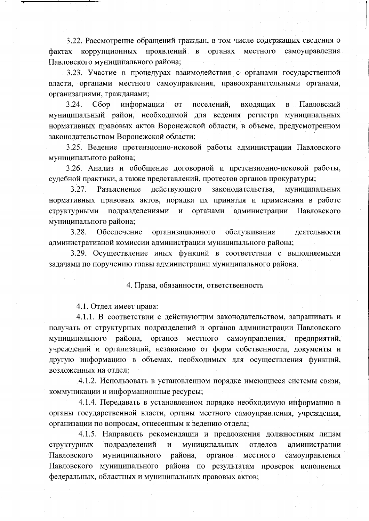3.22. Рассмотрение обращений граждан, в том числе содержащих сведения о фактах коррупционных проявлений в органах местного самоуправления Павловского муниципального района;

3.23. Участие в процедурах взаимодействия с органами государственной власти, органами местного самоуправления, правоохранительными органами, организациями, гражданами;

 $3.24.$  $C6op$ информации  $OT$ поселений, входящих  $\mathbf{B}$ Павловский муниципальный район, необходимой для ведения регистра муниципальных нормативных правовых актов Воронежской области, в объеме, предусмотренном законодательством Воронежской области;

3.25. Ведение претензионно-исковой работы администрации Павловского муниципального района;

3.26. Анализ и обобщение договорной и претензионно-исковой работы, судебной практики, а также представлений, протестов органов прокуратуры;

 $3.27.$ Разъяснение действующего законодательства, муниципальных нормативных правовых актов, порядка их принятия и применения в работе подразделениями и органами администрации структурными Павловского муниципального района;

3.28. Обеспечение организационного обслуживания деятельности административной комиссии администрации муниципального района;

3.29. Осуществление иных функций в соответствии с выполняемыми задачами по поручению главы администрации муниципального района.

4. Права, обязанности, ответственность

4.1. Отдел имеет права:

4.1.1. В соответствии с действующим законодательством, запрашивать и получать от структурных подразделений и органов администрации Павловского муниципального района, органов местного самоуправления. предприятий. учреждений и организаций, независимо от форм собственности, документы и другую информацию в объемах, необходимых для осуществления функций, возложенных на отдел:

4.1.2. Использовать в установленном порядке имеющиеся системы связи, коммуникации и информационные ресурсы;

4.1.4. Передавать в установленном порядке необходимую информацию в органы государственной власти, органы местного самоуправления, учреждения, организации по вопросам, отнесенным к ведению отдела;

4.1.5. Направлять рекомендации и предложения должностным лицам структурных подразделений  $\overline{\mathbf{M}}$ муниципальных отделов администрации Павловского муниципального района. органов местного самоуправления Павловского муниципального района по результатам проверок исполнения федеральных, областных и муниципальных правовых актов;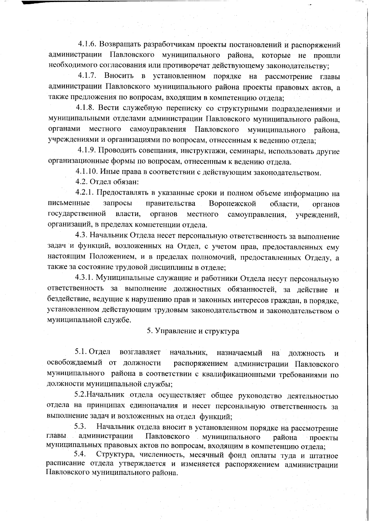4.1.6. Возвращать разработчикам проекты постановлений и распоряжений администрации Павловского муниципального района, которые не прошли необходимого согласования или противоречат действующему законодательству;

 $4.1.7.$ Вносить в установленном порядке на рассмотрение главы администрации Павловского муниципального района проекты правовых актов, а также предложения по вопросам, входящим в компетенцию отдела;

4.1.8. Вести служебную переписку со структурными подразделениями и муниципальными отделами администрации Павловского муниципального района, самоуправления Павловского муниципального органами местного района. учреждениями и организациями по вопросам, отнесенным к ведению отдела;

4.1.9. Проводить совещания, инструктажи, семинары, использовать другие организационные формы по вопросам, отнесенным к ведению отдела.

4.1.10. Иные права в соответствии с действующим законодательством.

4.2. Отдел обязан:

4.2.1. Предоставлять в указанные сроки и полном объеме информацию на письменные запросы правительства Воронежской области. органов государственной власти. органов местного самоуправления. учреждений. организаций, в пределах компетенции отдела.

4.3. Начальник Отдела несет персональную ответственность за выполнение задач и функций, возложенных на Отдел, с учетом прав, предоставленных ему настоящим Положением, и в пределах полномочий, предоставленных Отделу, а также за состояние трудовой дисциплины в отделе;

4.3.1. Муниципальные служащие и работники Отдела несут персональную ответственность за выполнение должностных обязанностей, за действие и бездействие, ведущие к нарушению прав и законных интересов граждан, в порядке, установленном действующим трудовым законодательством и законодательством о муниципальной службе.

5. Управление и структура

 $5.1.$  Отдел возглавляет начальник. назначаемый на должность  $\mathbf{M}$ освобождаемый от должности распоряжением администрации Павловского муниципального района в соответствии с квалификационными требованиями по должности муниципальной службы;

5.2. Начальник отдела осуществляет общее руководство деятельностью отдела на принципах единоначалия и несет персональную ответственность за выполнение задач и возложенных на отдел функций;

Начальник отдела вносит в установленном порядке на рассмотрение 5.3. главы. администрации Павловского иуниципального района проекты муниципальных правовых актов по вопросам, входящим в компетенцию отдела;

Структура, численность, месячный фонд оплаты туда и штатное  $5.4.$ расписание отдела утверждается и изменяется распоряжением администрации Павловского муниципального района.